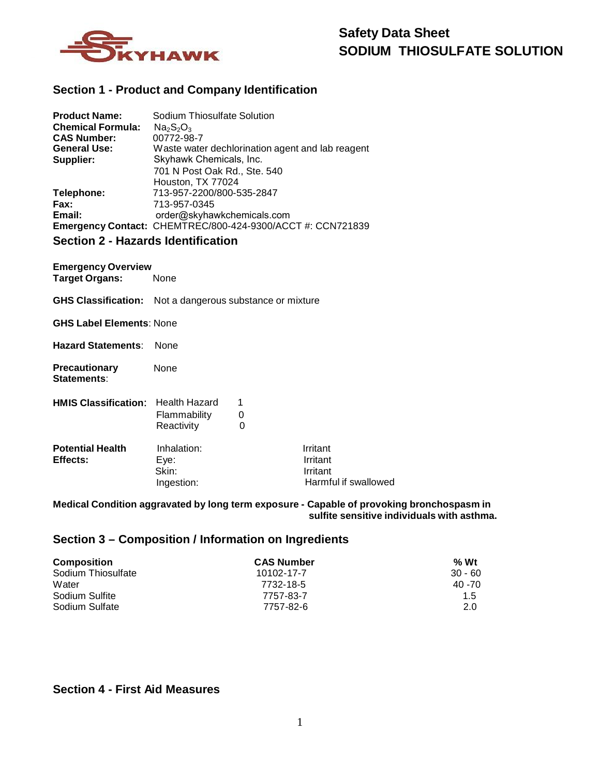

### **Section 1 - Product and Company Identification**

| <b>Product Name:</b>                      | Sodium Thiosulfate Solution                                |  |
|-------------------------------------------|------------------------------------------------------------|--|
| <b>Chemical Formula:</b>                  | Na <sub>2</sub> SO <sub>3</sub>                            |  |
| <b>CAS Number:</b>                        | 00772-98-7                                                 |  |
| <b>General Use:</b>                       | Waste water dechlorination agent and lab reagent           |  |
| Supplier:                                 | Skyhawk Chemicals, Inc.                                    |  |
|                                           | 701 N Post Oak Rd., Ste. 540                               |  |
|                                           | Houston, TX 77024                                          |  |
| Telephone:                                | 713-957-2200/800-535-2847                                  |  |
| Fax:                                      | 713-957-0345                                               |  |
| Email:                                    | order@skyhawkchemicals.com                                 |  |
|                                           | Emergency Contact: CHEMTREC/800-424-9300/ACCT #: CCN721839 |  |
| <b>Section 2 - Hazards Identification</b> |                                                            |  |

### **Section 2 - Hazards Identification**

**Emergency Overview<br>Target Organs: None Target Organs:** 

**GHS Classification:** Not a dangerous substance or mixture

### **GHS Label Elements**: None

**Hazard Statements**: None

**Precautionary** None **Statements**:

| <b>HMIS Classification:</b> Health Hazard |                            |  |
|-------------------------------------------|----------------------------|--|
|                                           | Flammability<br>Reactivity |  |
| <b>Potential Health</b><br>Effects:       | Inhalation:<br>Eve:        |  |

Skin: Ingestion: Irritant Irritant Irritant Harmful if swallowed

### **Medical Condition aggravated by long term exposure - Capable of provoking bronchospasm in sulfite sensitive individuals with asthma.**

### **Section 3 – Composition / Information on Ingredients**

| <b>Composition</b> | <b>CAS Number</b> | $%$ Wt    |
|--------------------|-------------------|-----------|
| Sodium Thiosulfate | 10102-17-7        | $30 - 60$ |
| Water              | 7732-18-5         | 40 - 70   |
| Sodium Sulfite     | 7757-83-7         | 1.5       |
| Sodium Sulfate     | 7757-82-6         | 2.0       |

### **Section 4 - First Aid Measures**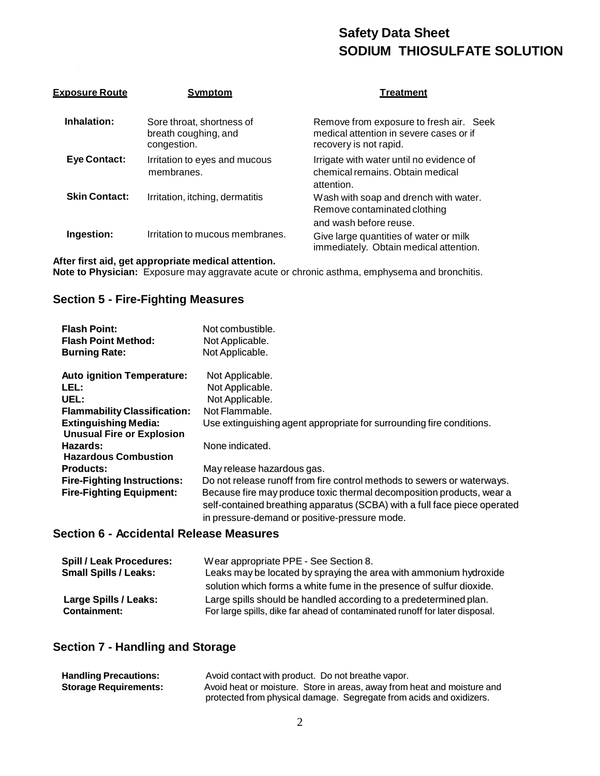| <u>Exposure Route</u> | <b>Symptom</b>                                                   | Treatment                                                                                                    |
|-----------------------|------------------------------------------------------------------|--------------------------------------------------------------------------------------------------------------|
| Inhalation:           | Sore throat, shortness of<br>breath coughing, and<br>congestion. | Remove from exposure to fresh air. Seek<br>medical attention in severe cases or if<br>recovery is not rapid. |
| <b>Eye Contact:</b>   | Irritation to eyes and mucous<br>membranes.                      | Irrigate with water until no evidence of<br>chemical remains. Obtain medical<br>attention.                   |
| <b>Skin Contact:</b>  | Irritation, itching, dermatitis                                  | Wash with soap and drench with water.<br>Remove contaminated clothing                                        |
|                       |                                                                  | and wash before reuse.                                                                                       |
| Ingestion:            | Irritation to mucous membranes.                                  | Give large quantities of water or milk<br>immediately. Obtain medical attention.                             |

## **After first aid, get appropriate medical attention.**

**Note to Physician:** Exposure may aggravate acute or chronic asthma, emphysema and bronchitis.

### **Section 5 - Fire-Fighting Measures**

| <b>Flash Point:</b><br><b>Flash Point Method:</b><br><b>Burning Rate:</b> | Not combustible.<br>Not Applicable.<br>Not Applicable.                                                                                                                                              |
|---------------------------------------------------------------------------|-----------------------------------------------------------------------------------------------------------------------------------------------------------------------------------------------------|
| <b>Auto ignition Temperature:</b>                                         | Not Applicable.                                                                                                                                                                                     |
| LEL:                                                                      | Not Applicable.                                                                                                                                                                                     |
| UEL:                                                                      | Not Applicable.                                                                                                                                                                                     |
| <b>Flammability Classification:</b>                                       | Not Flammable.                                                                                                                                                                                      |
| <b>Extinguishing Media:</b>                                               | Use extinguishing agent appropriate for surrounding fire conditions.                                                                                                                                |
| <b>Unusual Fire or Explosion</b>                                          |                                                                                                                                                                                                     |
| Hazards:                                                                  | None indicated.                                                                                                                                                                                     |
| <b>Hazardous Combustion</b>                                               |                                                                                                                                                                                                     |
| Products:                                                                 | May release hazardous gas.                                                                                                                                                                          |
| <b>Fire-Fighting Instructions:</b>                                        | Do not release runoff from fire control methods to sewers or waterways.                                                                                                                             |
| <b>Fire-Fighting Equipment:</b>                                           | Because fire may produce toxic thermal decomposition products, wear a<br>self-contained breathing apparatus (SCBA) with a full face piece operated<br>in pressure-demand or positive-pressure mode. |

### **Section 6 - Accidental Release Measures**

| <b>Spill / Leak Procedures:</b>              | Wear appropriate PPE - See Section 8.                                                                                                            |
|----------------------------------------------|--------------------------------------------------------------------------------------------------------------------------------------------------|
| <b>Small Spills / Leaks:</b>                 | Leaks may be located by spraying the area with ammonium hydroxide                                                                                |
|                                              | solution which forms a white fume in the presence of sulfur dioxide.                                                                             |
| Large Spills / Leaks:<br><b>Containment:</b> | Large spills should be handled according to a predetermined plan.<br>For large spills, dike far ahead of contaminated runoff for later disposal. |

### **Section 7 - Handling and Storage**

| <b>Handling Precautions:</b> | Avoid contact with product. Do not breathe vapor.                       |
|------------------------------|-------------------------------------------------------------------------|
| <b>Storage Requirements:</b> | Avoid heat or moisture. Store in areas, away from heat and moisture and |
|                              | protected from physical damage. Segregate from acids and oxidizers.     |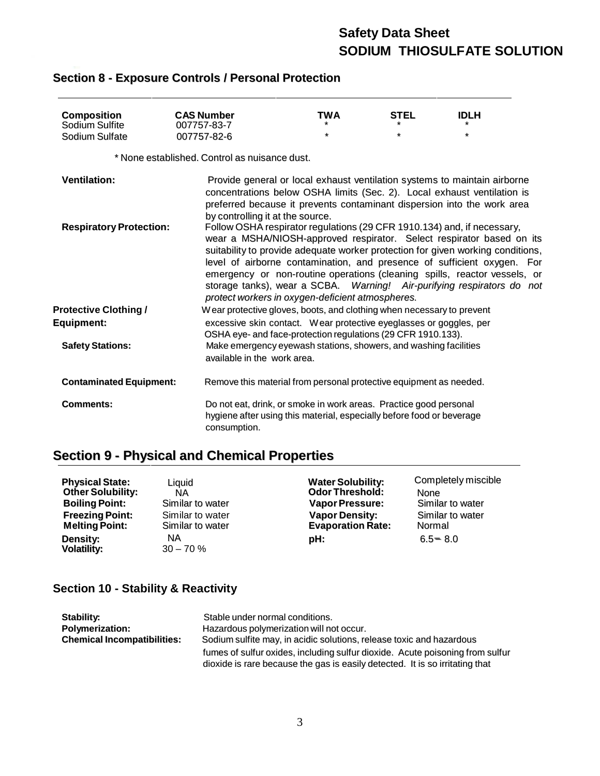| <b>Composition</b><br>Sodium Sulfite | <b>CAS Number</b><br>007757-83-7                                                                                                                           | TWA | <b>STEL</b> | <b>IDLH</b>                                                                                                                                                                                                                                                                                                                                                                                                                                                           |  |
|--------------------------------------|------------------------------------------------------------------------------------------------------------------------------------------------------------|-----|-------------|-----------------------------------------------------------------------------------------------------------------------------------------------------------------------------------------------------------------------------------------------------------------------------------------------------------------------------------------------------------------------------------------------------------------------------------------------------------------------|--|
| Sodium Sulfate                       | 007757-82-6                                                                                                                                                | *   | *           | *                                                                                                                                                                                                                                                                                                                                                                                                                                                                     |  |
|                                      |                                                                                                                                                            |     |             |                                                                                                                                                                                                                                                                                                                                                                                                                                                                       |  |
|                                      | * None established. Control as nuisance dust.                                                                                                              |     |             |                                                                                                                                                                                                                                                                                                                                                                                                                                                                       |  |
| <b>Ventilation:</b>                  | by controlling it at the source.                                                                                                                           |     |             | Provide general or local exhaust ventilation systems to maintain airborne<br>concentrations below OSHA limits (Sec. 2). Local exhaust ventilation is<br>preferred because it prevents contaminant dispersion into the work area                                                                                                                                                                                                                                       |  |
| <b>Respiratory Protection:</b>       | protect workers in oxygen-deficient atmospheres.                                                                                                           |     |             | Follow OSHA respirator regulations (29 CFR 1910.134) and, if necessary,<br>wear a MSHA/NIOSH-approved respirator. Select respirator based on its<br>suitability to provide adequate worker protection for given working conditions,<br>level of airborne contamination, and presence of sufficient oxygen. For<br>emergency or non-routine operations (cleaning spills, reactor vessels, or<br>storage tanks), wear a SCBA. Warning! Air-purifying respirators do not |  |
| <b>Protective Clothing /</b>         | Wear protective gloves, boots, and clothing when necessary to prevent                                                                                      |     |             |                                                                                                                                                                                                                                                                                                                                                                                                                                                                       |  |
| <b>Equipment:</b>                    | excessive skin contact. Wear protective eyeglasses or goggles, per                                                                                         |     |             |                                                                                                                                                                                                                                                                                                                                                                                                                                                                       |  |
|                                      | OSHA eye- and face-protection regulations (29 CFR 1910.133).                                                                                               |     |             |                                                                                                                                                                                                                                                                                                                                                                                                                                                                       |  |
| <b>Safety Stations:</b>              | Make emergency eyewash stations, showers, and washing facilities                                                                                           |     |             |                                                                                                                                                                                                                                                                                                                                                                                                                                                                       |  |
|                                      | available in the work area.                                                                                                                                |     |             |                                                                                                                                                                                                                                                                                                                                                                                                                                                                       |  |
| <b>Contaminated Equipment:</b>       | Remove this material from personal protective equipment as needed.                                                                                         |     |             |                                                                                                                                                                                                                                                                                                                                                                                                                                                                       |  |
| <b>Comments:</b>                     | Do not eat, drink, or smoke in work areas. Practice good personal<br>hygiene after using this material, especially before food or beverage<br>consumption. |     |             |                                                                                                                                                                                                                                                                                                                                                                                                                                                                       |  |

## **Section 8 - Exposure Controls / Personal Protection**

# **Section 9 - Physical and Chemical Properties**

| <b>Physical State:</b>   | Liauid           | <b>Water Solubility:</b> | Completely miscible |
|--------------------------|------------------|--------------------------|---------------------|
| <b>Other Solubility:</b> | ΝA               | <b>Odor Threshold:</b>   | None                |
| <b>Boiling Point:</b>    | Similar to water | <b>Vapor Pressure:</b>   | Similar to water    |
| <b>Freezing Point:</b>   | Similar to water | <b>Vapor Density:</b>    | Similar to water    |
| <b>Melting Point:</b>    | Similar to water | <b>Evaporation Rate:</b> | Normal              |
| <b>Density:</b>          | NA               | pH:                      | $6.5 = 8.0$         |
| <b>Volatility:</b>       | $30 - 70 \%$     |                          |                     |

## **Section 10 - Stability & Reactivity**

| Stability:                         | Stable under normal conditions.                                                                                                                               |
|------------------------------------|---------------------------------------------------------------------------------------------------------------------------------------------------------------|
| <b>Polymerization:</b>             | Hazardous polymerization will not occur.                                                                                                                      |
| <b>Chemical Incompatibilities:</b> | Sodium sulfite may, in acidic solutions, release toxic and hazardous                                                                                          |
|                                    | fumes of sulfur oxides, including sulfur dioxide. Acute poisoning from sulfur<br>dioxide is rare because the gas is easily detected. It is so irritating that |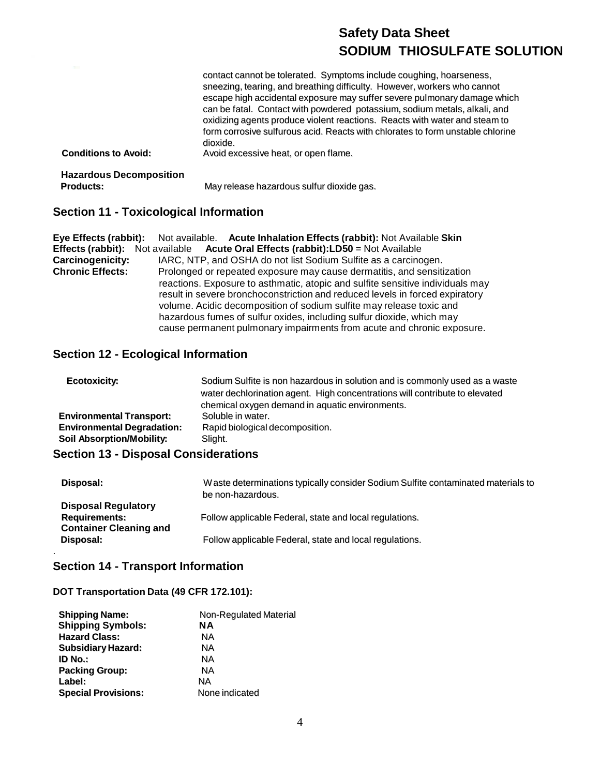| <b>Conditions to Avoid:</b>                        | contact cannot be tolerated. Symptoms include coughing, hoarseness,<br>sneezing, tearing, and breathing difficulty. However, workers who cannot<br>escape high accidental exposure may suffer severe pulmonary damage which<br>can be fatal. Contact with powdered potassium, sodium metals, alkali, and<br>oxidizing agents produce violent reactions. Reacts with water and steam to<br>form corrosive sulfurous acid. Reacts with chlorates to form unstable chlorine<br>dioxide.<br>Avoid excessive heat, or open flame. |
|----------------------------------------------------|------------------------------------------------------------------------------------------------------------------------------------------------------------------------------------------------------------------------------------------------------------------------------------------------------------------------------------------------------------------------------------------------------------------------------------------------------------------------------------------------------------------------------|
| <b>Hazardous Decomposition</b><br><b>Products:</b> | May release hazardous sulfur dioxide gas.                                                                                                                                                                                                                                                                                                                                                                                                                                                                                    |

# **Section 11 - Toxicological Information**

|                         | Eye Effects (rabbit): Not available. Acute Inhalation Effects (rabbit): Not Available Skin |
|-------------------------|--------------------------------------------------------------------------------------------|
|                         | <b>Effects (rabbit):</b> Not available Acute Oral Effects (rabbit):LD50 = Not Available    |
| Carcinogenicity:        | IARC, NTP, and OSHA do not list Sodium Sulfite as a carcinogen.                            |
| <b>Chronic Effects:</b> | Prolonged or repeated exposure may cause dermatitis, and sensitization                     |
|                         | reactions. Exposure to asthmatic, atopic and sulfite sensitive individuals may             |
|                         | result in severe bronchoconstriction and reduced levels in forced expiratory               |
|                         | volume. Acidic decomposition of sodium sulfite may release toxic and                       |
|                         | hazardous fumes of sulfur oxides, including sulfur dioxide, which may                      |
|                         | cause permanent pulmonary impairments from acute and chronic exposure.                     |

## **Section 12 - Ecological Information**

| Ecotoxicity:                      | Sodium Sulfite is non hazardous in solution and is commonly used as a waste<br>water dechlorination agent. High concentrations will contribute to elevated<br>chemical oxygen demand in aquatic environments. |
|-----------------------------------|---------------------------------------------------------------------------------------------------------------------------------------------------------------------------------------------------------------|
| <b>Environmental Transport:</b>   | Soluble in water.                                                                                                                                                                                             |
| <b>Environmental Degradation:</b> | Rapid biological decomposition.                                                                                                                                                                               |
| <b>Soil Absorption/Mobility:</b>  | Slight.                                                                                                                                                                                                       |

## **Section 13 - Disposal Considerations**

| Disposal:                                                                           | W aste determinations typically consider Sodium Sulfite contaminated materials to<br>be non-hazardous. |
|-------------------------------------------------------------------------------------|--------------------------------------------------------------------------------------------------------|
| <b>Disposal Regulatory</b><br><b>Requirements:</b><br><b>Container Cleaning and</b> | Follow applicable Federal, state and local regulations.                                                |
| Disposal:                                                                           | Follow applicable Federal, state and local regulations.                                                |

### **Section 14 - Transport Information**

.

### **DOT Transportation Data (49 CFR 172.101):**

| <b>Shipping Name:</b>      | Non-Regulated Material |
|----------------------------|------------------------|
| <b>Shipping Symbols:</b>   | <b>NA</b>              |
| <b>Hazard Class:</b>       | NА                     |
| <b>Subsidiary Hazard:</b>  | NА                     |
| ID No.:                    | NА                     |
| <b>Packing Group:</b>      | NА                     |
| Label:                     | NA                     |
| <b>Special Provisions:</b> | None indicated         |